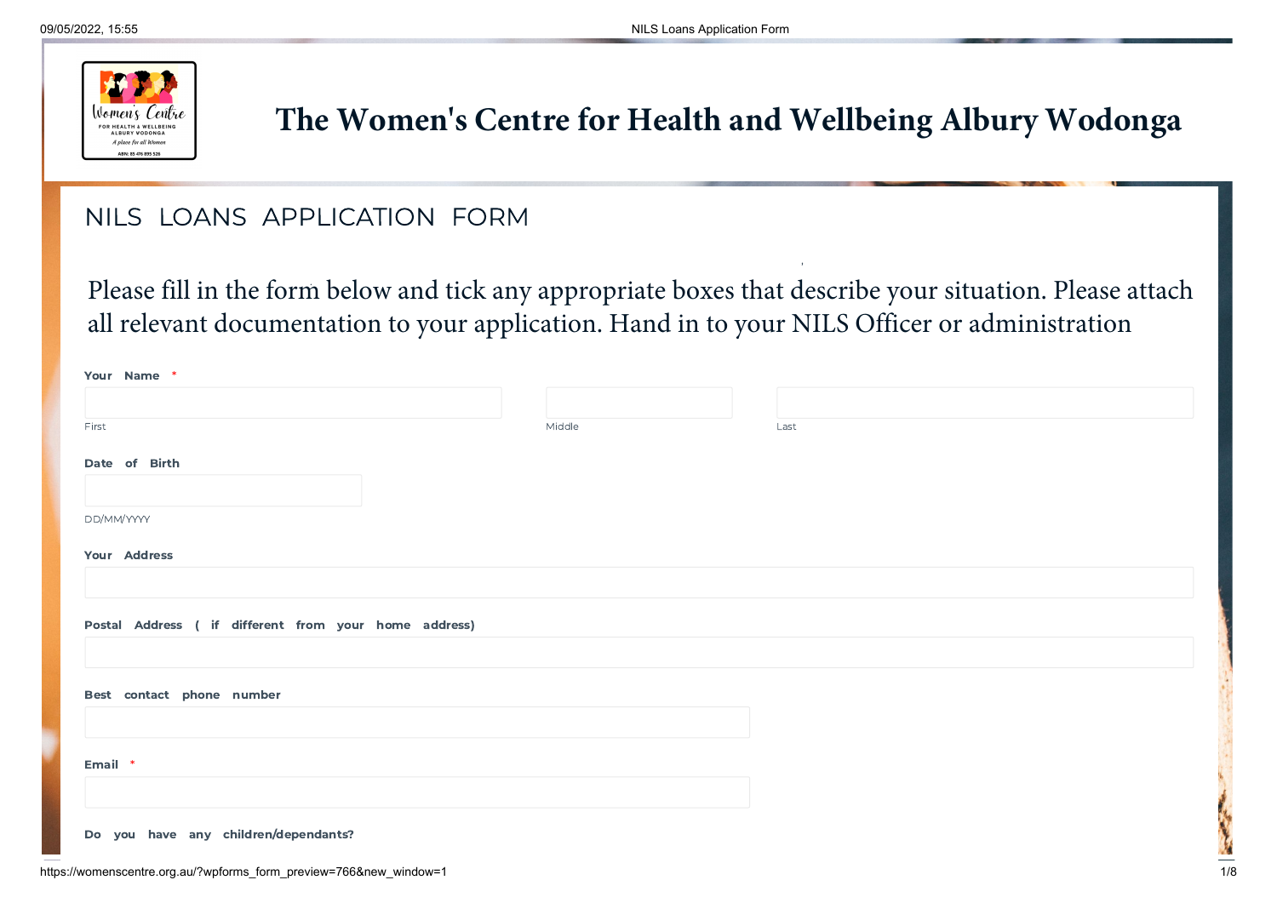

# **The Women's Centre for Health and Wellbeing Albury Wodonga**

,

# NILS LOANS APPLICATION FORM

. Please fill in the form below and tick any appropriate boxes that describe your situation. Please attach all relevant documentation to your application. Hand in to your NILS Officer or administration

| Your Name *                                           |        |      |
|-------------------------------------------------------|--------|------|
|                                                       |        |      |
| First                                                 | Middle | Last |
| Date of Birth                                         |        |      |
| DD/MM/YYYY                                            |        |      |
| Your Address                                          |        |      |
|                                                       |        |      |
| Postal Address ( if different from your home address) |        |      |
|                                                       |        |      |
| Best contact phone number                             |        |      |
|                                                       |        |      |
| Email *                                               |        |      |
|                                                       |        |      |
| Do you have any children/dependants?                  |        |      |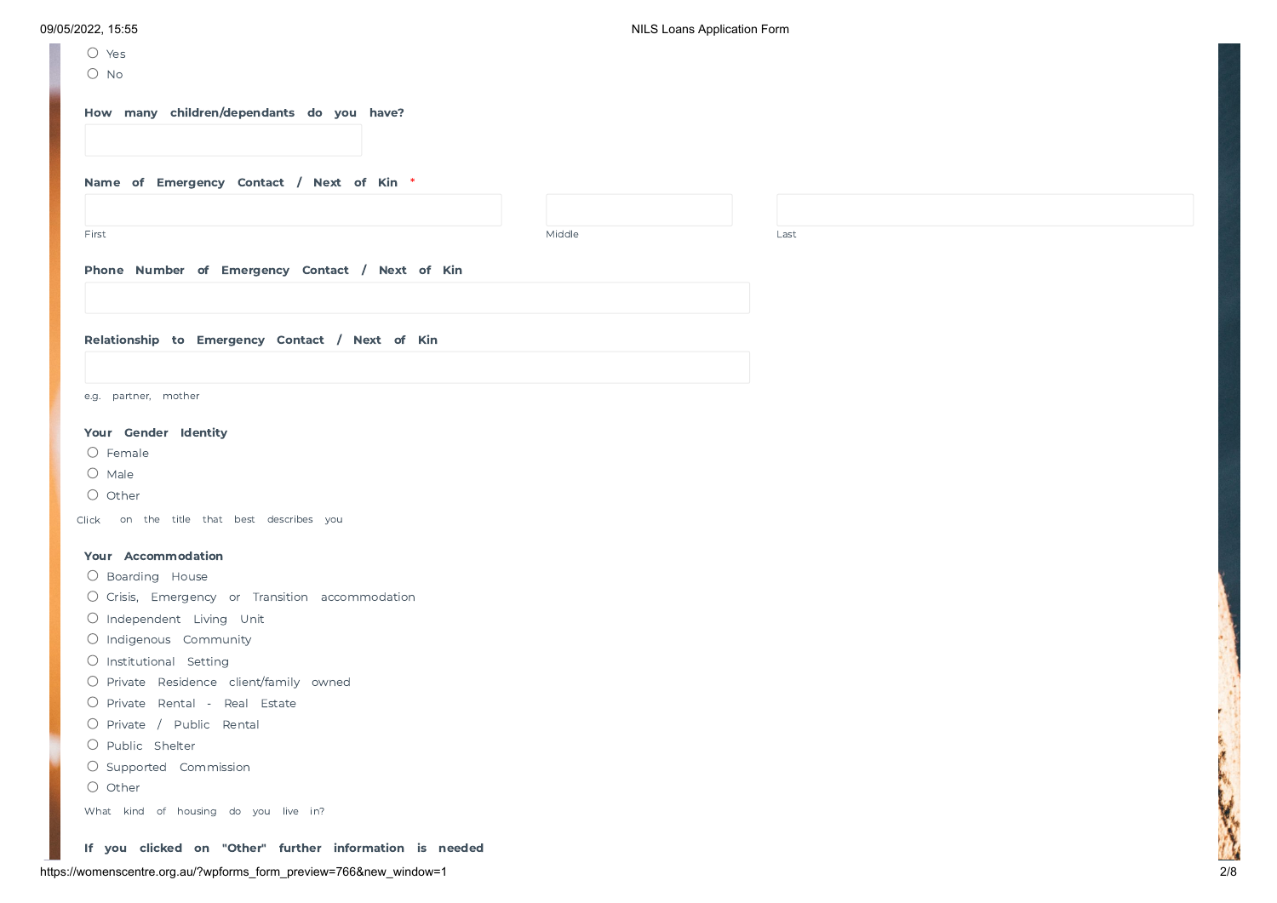| $\bigcirc$ Yes                                          |        |      |  |  |
|---------------------------------------------------------|--------|------|--|--|
| $O$ No                                                  |        |      |  |  |
|                                                         |        |      |  |  |
| How many children/dependants do you have?               |        |      |  |  |
|                                                         |        |      |  |  |
|                                                         |        |      |  |  |
| Name of Emergency Contact / Next of Kin *               |        |      |  |  |
|                                                         |        |      |  |  |
| First                                                   | Middle | Last |  |  |
|                                                         |        |      |  |  |
| Phone Number of Emergency Contact / Next of Kin         |        |      |  |  |
|                                                         |        |      |  |  |
|                                                         |        |      |  |  |
| Relationship to Emergency Contact / Next of Kin         |        |      |  |  |
|                                                         |        |      |  |  |
|                                                         |        |      |  |  |
| e.g. partner, mother                                    |        |      |  |  |
| Your Gender Identity                                    |        |      |  |  |
| O Female                                                |        |      |  |  |
| $O$ Male                                                |        |      |  |  |
| $\bigcirc$ Other                                        |        |      |  |  |
| Click on the title that best describes you              |        |      |  |  |
|                                                         |        |      |  |  |
| Your Accommodation                                      |        |      |  |  |
| O Boarding House                                        |        |      |  |  |
| O Crisis, Emergency or Transition accommodation         |        |      |  |  |
| O Independent Living Unit                               |        |      |  |  |
| O Indigenous Community                                  |        |      |  |  |
| O Institutional Setting                                 |        |      |  |  |
| O Private Residence client/family owned                 |        |      |  |  |
| O Private Rental - Real Estate                          |        |      |  |  |
| O Private / Public Rental                               |        |      |  |  |
| O Public Shelter                                        |        |      |  |  |
| O Supported Commission                                  |        |      |  |  |
| O Other                                                 |        |      |  |  |
| What kind of housing do you live in?                    |        |      |  |  |
| If you clicked on "Other" further information is needed |        |      |  |  |

**Charles Report**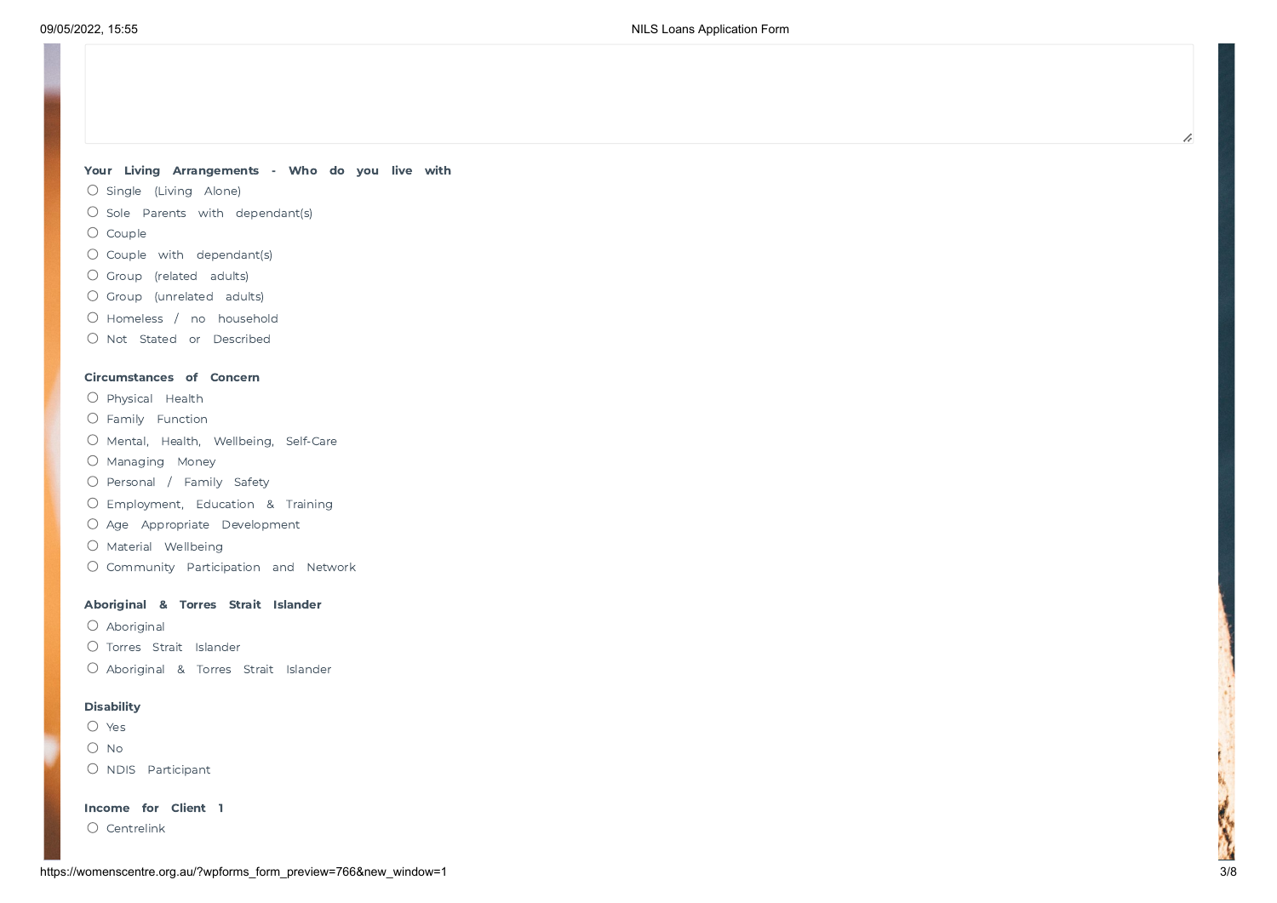### Your Living Arrangements - Who do you live with

- $O$  Single (Living Alone)
- $\bigcirc$  Sole Parents with dependant(s)
- $O$  Couple
- $O$  Couple with dependant(s)
- O Group (related adults)
- Group (unrelated adults)
- O Homeless / no household
- O Not Stated or Described

### Circumstances of Concern

- $O$  Physical Health
- Family Function
- O Mental, Health, Wellbeing, Self-Care
- O Managing Money
- O Personal / Family Safety
- Employment, Education & Training
- O Age Appropriate Development
- $O$  Material Wellbeing
- Community Participation and Network

### Aboriginal & Torres Strait Islander

- Aboriginal
- O Torres Strait Islander
- O Aboriginal & Torres Strait Islander

### **Disability**

- O Yes
- $O$  No
- O NDIS Participant

Income for Client 1

O Centrelink

h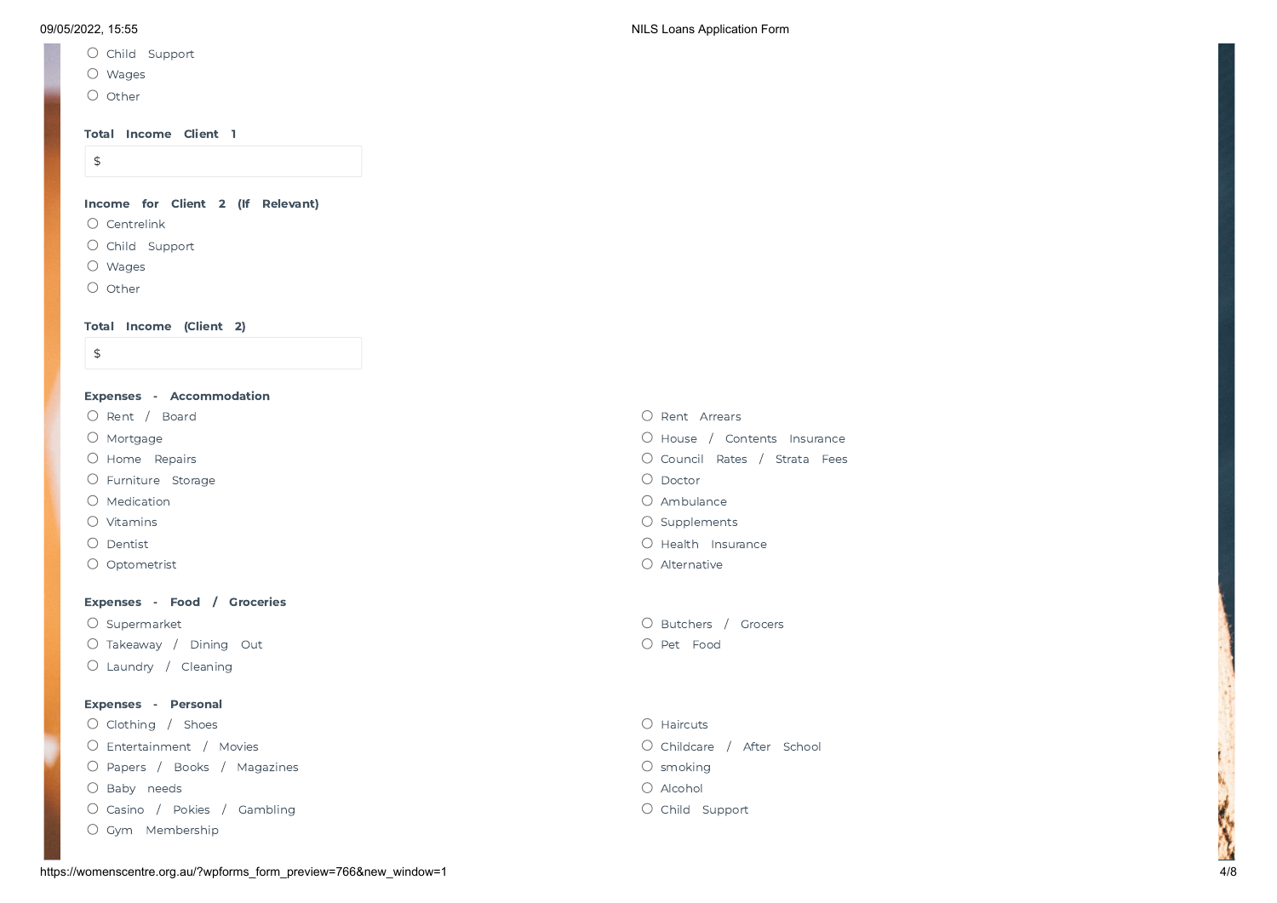- O Child Support
- Wages
- $O$  Other

### Total Income Client 1

\$

Income for Client 2 (If Relevant)

- O Centrelink
- O Child Support
- Wages
- O Other

## Total Income (Client 2)

\$

| Expenses - Accommodation  |                               |
|---------------------------|-------------------------------|
| O Rent / Board            | Rent Arrears<br>$\bigcirc$    |
| $\bigcirc$ Mortgage       | O House / Contents Insurance  |
| O Home Repairs            | O Council Rates / Strata Fees |
| $\circ$ Furniture Storage | $\bigcirc$ Doctor             |
| $\bigcirc$ Medication     | O Ambulance                   |
| $\bigcirc$ Vitamins       | $\circ$ Supplements           |
| $\bigcirc$ Dentist        | $\bigcirc$ Health Insurance   |
| $\bigcirc$ Optometrist    | O Alternative                 |
|                           |                               |

### Expenses - Food / Groceries

O Takeaway / Dining Out **Pet Food** Laundry / Cleaning

### Expenses - Personal

O Clothing / Shoes **Haircuts** O Haircuts **C** Haircuts Entertainment / Movies Childcare / After School O Papers / Books / Magazines smoking smoking smoking smoking smoking smoking smoking O Baby needs **Alcohol Structure (2002)** Section 2012 12:00:00 Alcohol Structure (2004) Alcohol Structure (30 Alcohol Structure (30 Alcohol Structure (30 Alcohol Structure (30 Alcohol Structure (30 Alcohol Structure (30 Alc O Casino / Pokies / Gambling Child Support Child Support Gym Membership

- Supermarket **Butchers / Grocers**  $\overline{O}$  Supermarket **Butchers** / Grocers **Butchers** / Grocers
	-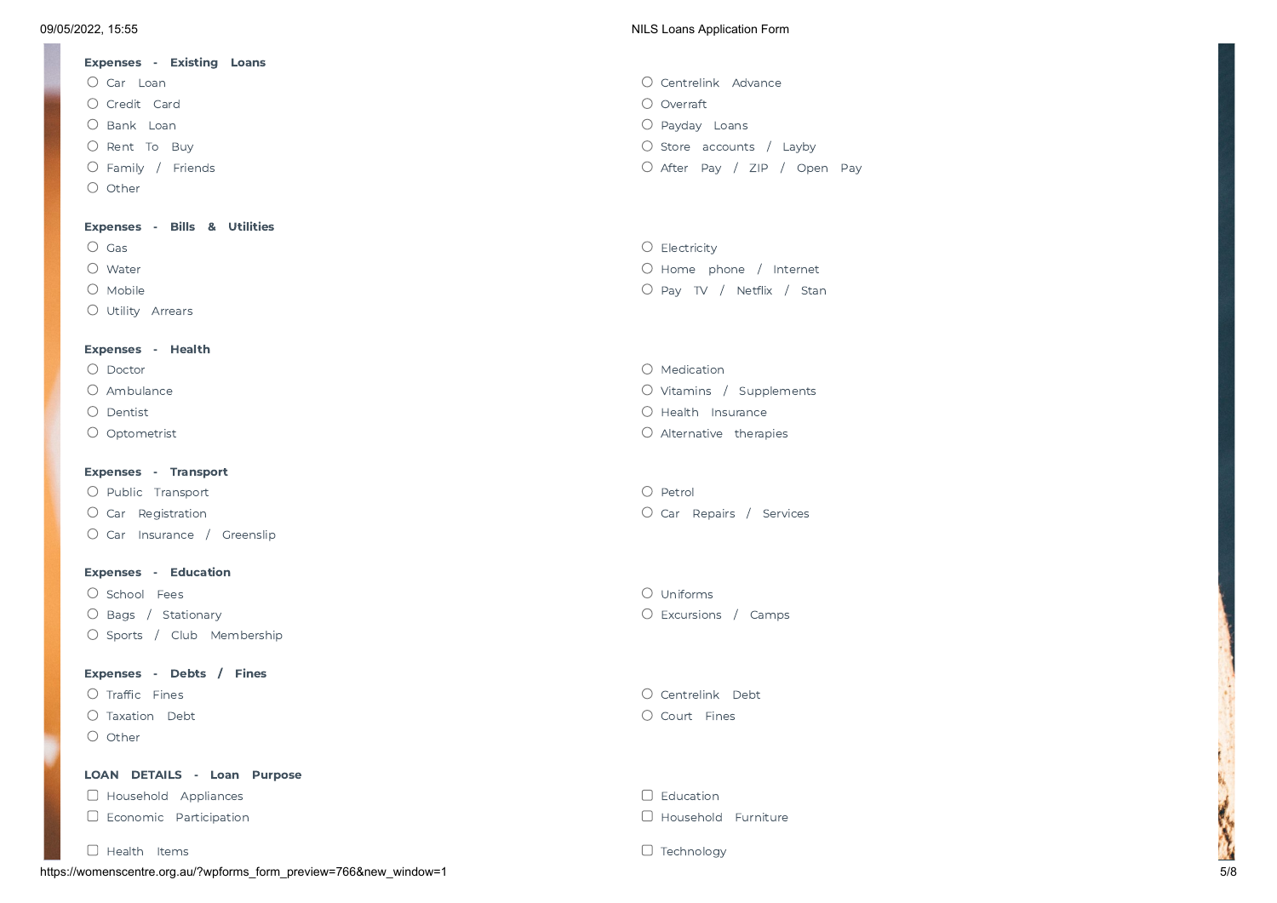## Expenses - Existing Loans Car Loan Centrelink Advance Credit Card Overraft O Bank Loan **Payday Loan Payday Loans** Payday Loans Payday Loans Payday Loans Payday Loans Payday Loans Payday Loans C Rent To Buy Store accounts / Layby Store accounts / Layby Store accounts / Layby O Family / Friends **After Pay / ZIP** / Open Pay O Other Expenses - Bills & Utilities C Gas Controlled to the Controller of the Controller of the Controller of the Controller of the Controller of the Controller of the Controller of the Controller of the Controller of the Controller of the Controller of the

Utility Arrears

### Expenses - Health

- 
- 
- 

### Expenses - Transport

O Public Transport C Public Transport C Public Transport C Petrol O Car Insurance / Greenslip

### Expenses - Education

O School Fees and the set of the set of the set of the set of the set of the set of the set of the set of the set of the set of the set of the set of the set of the set of the set of the set of the set of the set of the se O Bags / Stationary **Excursions / Camps** O Excursions / Camps O Sports / Club Membership

### Expenses - Debts / Fines

- 
- O Other

### LOAN DETAILS - Loan Purpose

 $\Box$  Household Appliances  $\Box$  Education

https://womenscentre.org.au/?wpforms\_form\_preview=766&new\_window=1 5/8  $\Box$  Health Items  $\Box$  Technology

### 09/05/2022, 15:55 NILS Loans Application Form

- 
- O Water Contract of the United States of the United States of the United States of the United States of the United States of the United States of the United States of the United States of the United States of the United St O Mobile **Contract Contract Contract Contract Contract Contract Contract Contract Contract Contract Contract Contract Contract Contract Contract Contract Contract Contract Contract Contract Contract Contract Contract Contr**
- $O$  Medication O Ambulance **Victor** Communication Communication Communication Communication Communication Communication Communication Communication Communication Communication Communication Communication Communication Communication Commu O Dentist **Contract According Contract Contract Contract Contract Contract Contract Contract Contract Contract Contract Contract Contract Contract Contract Contract Contract Contract Contract Contract Contract Contract Con** O Optometrist C Alternative therapies

C Car Registration Car Registration Car Repairs / Services

Traffic Fines Centrelink Debt Taxation Debt Court Fines

 $\Box$  Economic Participation  $\Box$  Household Furniture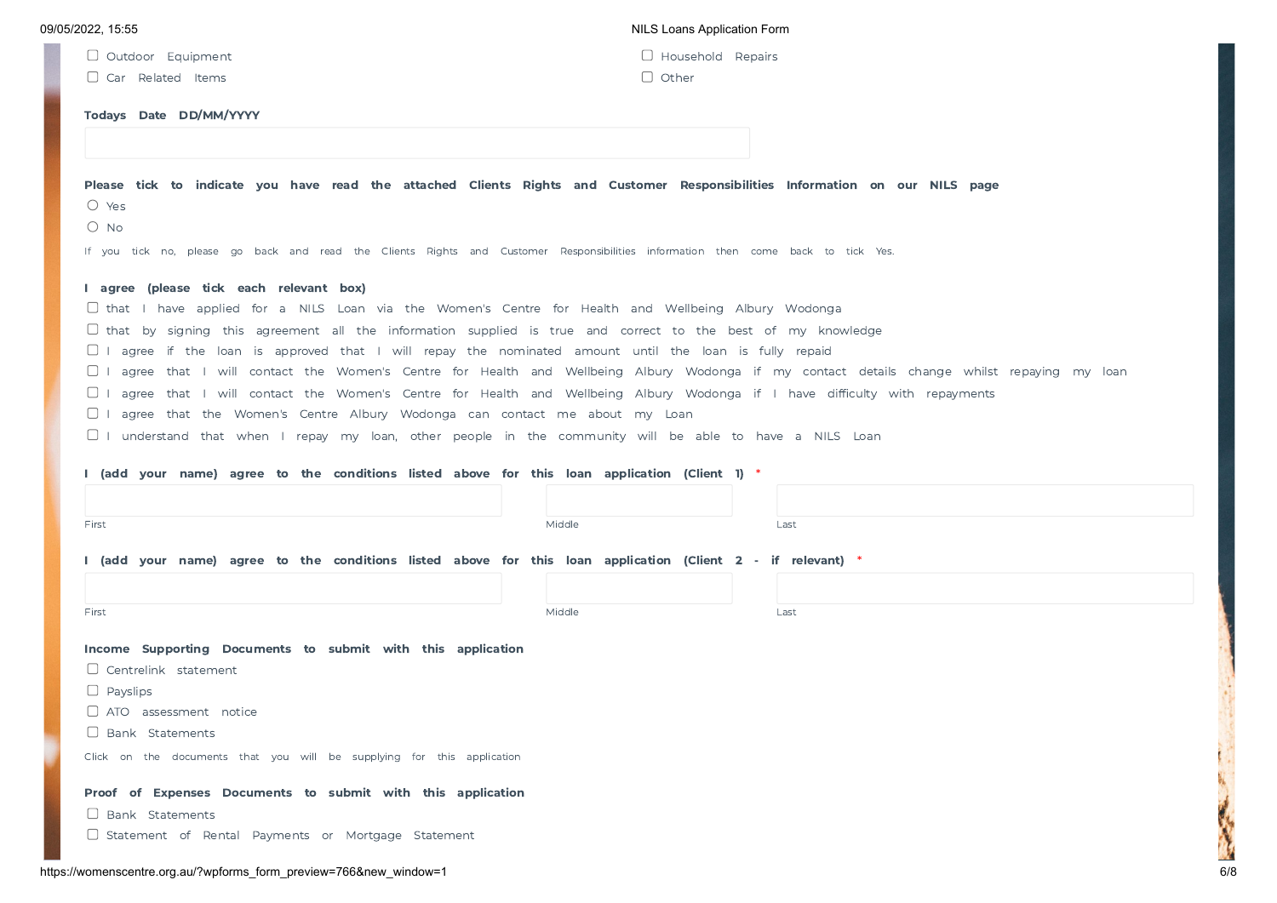| 09/05/2022. 15:55 |  |  |  |  |
|-------------------|--|--|--|--|
|-------------------|--|--|--|--|

| Outdoor | Equipment |
|---------|-----------|
|         |           |

O Car Related Items **O Caracter Care Contracted** Other

NILS Loans Application Form

|  | Outdoor Equipment | $\Box$ Household Repairs |  |
|--|-------------------|--------------------------|--|
|--|-------------------|--------------------------|--|

### Todays Date DD/MM/YYYY

| Please tick to indicate you have read the attached Clients Rights and Customer Responsibilities Information on our NILS page<br>$\bigcirc$ Yes     |        |      |
|----------------------------------------------------------------------------------------------------------------------------------------------------|--------|------|
|                                                                                                                                                    |        |      |
| $\circ$ No                                                                                                                                         |        |      |
| If you tick no, please go back and read the Clients Rights and Customer Responsibilities information then come back to tick Yes.                   |        |      |
| I agree (please tick each relevant box)                                                                                                            |        |      |
| $\Box$ that I have applied for a NILS Loan via the Women's Centre for Health and Wellbeing Albury Wodonga                                          |        |      |
| $\Box$ that by signing this agreement all the information supplied is true and correct to the best of my knowledge                                 |        |      |
| $\Box$ I agree if the loan is approved that I will repay the nominated amount until the loan is fully repaid                                       |        |      |
| $\Box$ I agree that I will contact the Women's Centre for Health and Wellbeing Albury Wodonga if my contact details change whilst repaying my Ioan |        |      |
| $\Box$ I agree that I will contact the Women's Centre for Health and Wellbeing Albury Wodonga if I have difficulty with repayments                 |        |      |
| $\Box$ I agree that the Women's Centre Albury Wodonga can contact me about my Loan                                                                 |        |      |
| $\Box$ I understand that when I repay my loan, other people in the community will be able to have a NILS Loan                                      |        |      |
|                                                                                                                                                    |        |      |
| I (add your name) agree to the conditions listed above for this loan application (Client 1) *                                                      |        |      |
|                                                                                                                                                    |        |      |
| First                                                                                                                                              | Middle | Last |
|                                                                                                                                                    |        |      |
| I (add your name) agree to the conditions listed above for this loan application (Client 2 - if relevant) *                                        |        |      |
|                                                                                                                                                    |        |      |
| First                                                                                                                                              | Middle | Last |
|                                                                                                                                                    |        |      |
| Income Supporting Documents to submit with this application                                                                                        |        |      |
| $\Box$ Centrelink statement                                                                                                                        |        |      |
| $\Box$ Payslips                                                                                                                                    |        |      |
| $\Box$ ATO assessment notice                                                                                                                       |        |      |
| $\Box$ Bank Statements                                                                                                                             |        |      |

Click on the documents that you will be supplying for this application

### Proof of Expenses Documents to submit with this application

**D** Bank Statements

 $\Box$  Statement of Rental Payments or Mortgage Statement